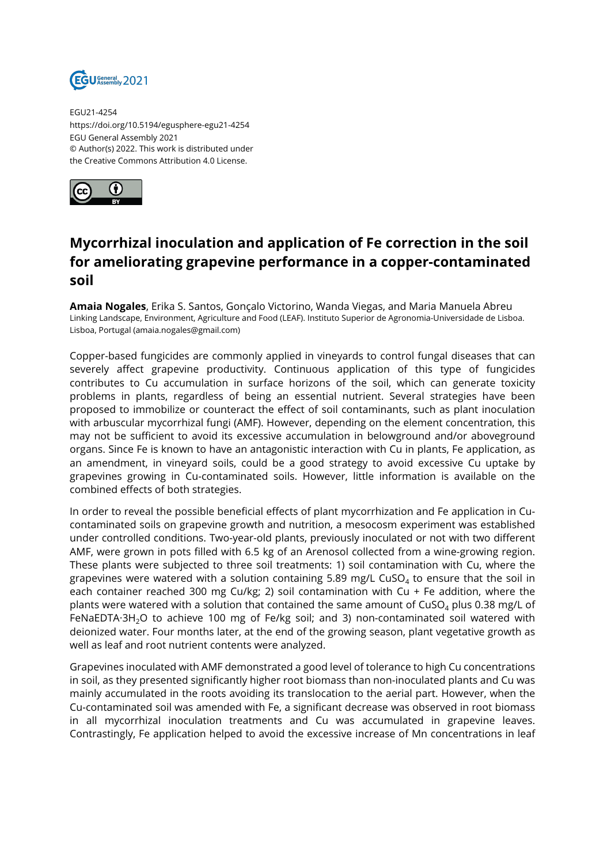

EGU21-4254 https://doi.org/10.5194/egusphere-egu21-4254 EGU General Assembly 2021 © Author(s) 2022. This work is distributed under the Creative Commons Attribution 4.0 License.



## **Mycorrhizal inoculation and application of Fe correction in the soil for ameliorating grapevine performance in a copper-contaminated soil**

**Amaia Nogales**, Erika S. Santos, Gonçalo Victorino, Wanda Viegas, and Maria Manuela Abreu Linking Landscape, Environment, Agriculture and Food (LEAF). Instituto Superior de Agronomia-Universidade de Lisboa. Lisboa, Portugal (amaia.nogales@gmail.com)

Copper-based fungicides are commonly applied in vineyards to control fungal diseases that can severely affect grapevine productivity. Continuous application of this type of fungicides contributes to Cu accumulation in surface horizons of the soil, which can generate toxicity problems in plants, regardless of being an essential nutrient. Several strategies have been proposed to immobilize or counteract the effect of soil contaminants, such as plant inoculation with arbuscular mycorrhizal fungi (AMF). However, depending on the element concentration, this may not be sufficient to avoid its excessive accumulation in belowground and/or aboveground organs. Since Fe is known to have an antagonistic interaction with Cu in plants, Fe application, as an amendment, in vineyard soils, could be a good strategy to avoid excessive Cu uptake by grapevines growing in Cu-contaminated soils. However, little information is available on the combined effects of both strategies.

In order to reveal the possible beneficial effects of plant mycorrhization and Fe application in Cucontaminated soils on grapevine growth and nutrition, a mesocosm experiment was established under controlled conditions. Two-year-old plants, previously inoculated or not with two different AMF, were grown in pots filled with 6.5 kg of an Arenosol collected from a wine-growing region. These plants were subjected to three soil treatments: 1) soil contamination with Cu, where the grapevines were watered with a solution containing 5.89 mg/L CuSO $_4$  to ensure that the soil in each container reached 300 mg Cu/kg; 2) soil contamination with Cu + Fe addition, where the plants were watered with a solution that contained the same amount of  $CuSO<sub>4</sub>$  plus 0.38 mg/L of FeNaEDTA·3H<sub>2</sub>O to achieve 100 mg of Fe/kg soil; and 3) non-contaminated soil watered with deionized water. Four months later, at the end of the growing season, plant vegetative growth as well as leaf and root nutrient contents were analyzed.

Grapevines inoculated with AMF demonstrated a good level of tolerance to high Cu concentrations in soil, as they presented significantly higher root biomass than non-inoculated plants and Cu was mainly accumulated in the roots avoiding its translocation to the aerial part. However, when the Cu-contaminated soil was amended with Fe, a significant decrease was observed in root biomass in all mycorrhizal inoculation treatments and Cu was accumulated in grapevine leaves. Contrastingly, Fe application helped to avoid the excessive increase of Mn concentrations in leaf